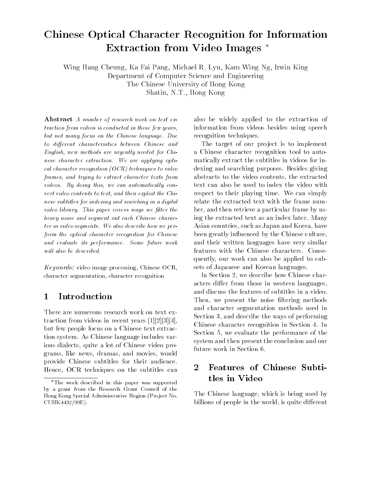# Chinese Optical Character Recognition for InformationExtraction from Video Images

Wing Hang Cheung Ka Fai Pang Michael R- Lyu Kam Wing Ng Irwin KingDepartment of Computer Science and EngineeringThe Chinese University of Hong KongShatin N-T- Hong Kong

Abstract A number of research work on text extraction from videos is conducted in these few years. but not many focus on the Chinese language. Due to different characteristics between Chinese and English- new methods are urgently needed for Chi nese character extraction. We are applying optical character recognition  $(OCR)$  techniques to video frames- and trying to extract character texts from videos By doing this- we can automatical ly con vert content contents to text, which there exploit the end t nese subtitles for indexing and searching in a digital video library. This paper covers ways we filter the heavy noise and segment out each Chinese charac ter in video segments. We also describe how we perform the optical character recognition for Chinese and evaluate its performance. Some future work will also be described.

Keywords: video image processing, Chinese OCR, character segmentation, character recognition

#### $\mathbf 1$ Introduction

There are numerous research work on text ex traction from videos in recent years --- but few people focus on a Chinese text extrac tion system. As Chinese language includes various dialects, quite a lot of Chinese video programs, like news, dramas, and movies, would provide Chinese subtitles for their audience Hence, OCR techniques on the subtitles can

also be widely applied to the extraction of information from videos besides using speech recognition techniques 

The target of our project is to implement a Chinese character recognition tool to auto matically extract the subtitles in videos for in dexing and searching purposes. Besides giving abstracts to the video contents, the extracted text can also be used to index the video with respect to their playing time. We can simply relate the extracted text with the frame num ber, and then retrieve a particular frame by using the extracted text as an index later. Many Asian countries, such as Japan and Korea, have been greatly in uenced by the Chinese culture and their written languages have very similar features with the Chinese characters. Consequently, our work can also be applied to subsets of Japanese and Korean languages 

In Section 2, we describe how Chinese characters differ from those in western languages, and discuss the features of subtitles in a video Then, we present the noise filtering methods and character segmentation methods used in Section 3, and describe the ways of performing Chinese character recognition in Section 4. In Section 5, we evaluate the performance of the system and then present the conclusion and our future work in Section 

### $\overline{2}$  Features of Chinese Subti tles in Video

The Chinese language, which is being used by billions of people in the world, is quite different

The work described in this paper was supported by a grant from the Research Grant Council of the Hong Kong Special Administrative Region (Project No. CUHK4432/99E).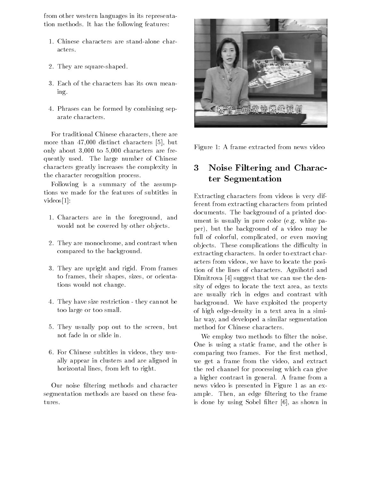from other western languages in its representa tion methods. It has the following features:

- 1. Chinese characters are stand-alone characters
- 2. They are square-shaped.
- Each of the characters has its own mean ing
- Phrases can be formed by combining sep arate characters.

For traditional Chinese characters there are more than distinct characters - but only about  $3,000$  to  $5,000$  characters are frequently used. The large number of Chinese characters greatly increases the complexity in the character recognition process 

Following is a summary of the assump tions we made for the features of subtitles in videos e a contra contra contra contra contra contra contra contra contra contra contra contra contra contra c

- 1. Characters are in the foreground, and would not be covered by other objects.
- 2. They are monochrome, and contrast when compared to the background
- 3. They are upright and rigid. From frames to frames, their shapes, sizes, or orientations would not change
- 4. They have size restriction they cannot be too large or too small
- 5. They usually pop out to the screen, but not fade in or slide in
- 6. For Chinese subtitles in videos, they usually appear in clusters and are aligned in horizontal lines, from left to right.

Our noise ltering methods and character segmentation methods are based on these fea tures.



Figure 1: A frame extracted from news video

### 3 Noise Filtering and Charac ter Segmentation

Extracting characters from videos is very dif ferent from extracting characters from printed documents. The background of a printed document is usually in pure color (e.g. white paper), but the background of a video may be full of colorful, complicated, or even moving objects. These complications the difficulty in extracting characters. In order to extract characters from videos, we have to locate the position of the lines of characters. Agnihotri and - sustitute that we can use the density of the density of the canonical contract of the contract of the density sity of edges to locate the text area, as texts are usually rich in edges and contrast with background. We have exploited the property of high edgedensity in a text area in a simi lar way, and developed a similar segmentation method for Chinese characters 

We employ two methods to filter the noise. One is using a static frame, and the other is comparing two frames. For the first method, we get a frame from the video, and extract the red channel for processing which can give a higher contrast in general. A frame from a news video is presented in Figure 1 as an example. Then, an edge filtering to the frame is done by assign the street paper and the street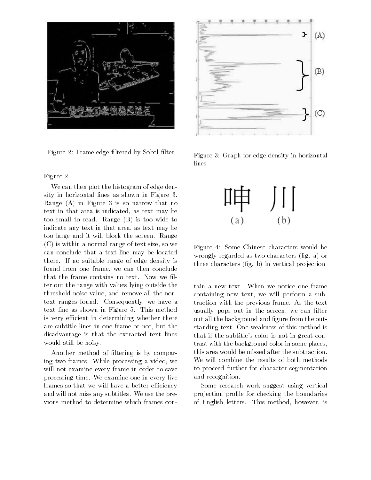

Figure 2: Frame edge filtered by Sobel filter

### Figure 2.

We can then plot the histogram of edge den sity in horizontal lines as shown in Figure 3. Range  $(A)$  in Figure 3 is so narrow that no text in that area is indicated, as text may be too small to read. Range  $(B)$  is too wide to indicate any text in that area, as text may be too large and it will block the screen. Range  $(C)$  is within a normal range of text size, so we can conclude that a text line may be located there. If no suitable range of edge density is found from one frame, we can then conclude that the frame contains no text. Now we filter out the range with values lying outside the threshold noise value, and remove all the nontext ranges found. Consequently, we have a text line as shown in Figure 5. This method is very efficient in determining whether there are subtitle-lines in one frame or not, but the disadvantage is that the extracted text lines would still be noisy 

Another method of filtering is by comparing two frames. While processing a video, we will not examine every frame in order to save processing time. We examine one in every five frames so that we will have a better efficiency and will not miss any subtitles. We use the previous method to determine which frames con



Figure 3: Graph for edge density in horizontal lines



Figure 4: Some Chinese characters would be wrongly regarded as two characters  $(\text{fig. a})$  or three characters  $(f_ig, b)$  in vertical projection

tain a new text. When we notice one frame containing new text, we will perform a subtraction with the previous frame As the text usually pops out in the screen, we can filter out all the background and figure from the outstanding text. One weakness of this method is that if the subtitle's color is not in great contrast with the background color in some places this area would be missed after the subtraction We will combine the results of both methods to proceed further for character segmentation and recognition 

Some research work suggest using vertical projection profile for checking the boundaries of English letters. This method, however, is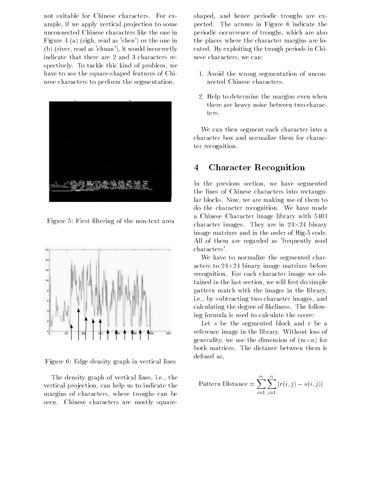not suitable for Chinese characters. For example, if we apply vertical projection to some unconnected Chinese characters like the one in Figure 4 (a) (sigh, read as 'shen') or the one in (b) (river, read as 'chuan'), it would incorrectly indicate that there are 2 and 3 characters respectively. To tackle this kind of problem, we have to use the square-shaped features of Chinese characters to perform the segmentation 



Figure 5: First filtering of the non-text area



Figure 6: Edge density graph in vertical lines

The density graph of vertical lines, i.e., the vertical projection, can help us to indicate the margins of characters, where troughs can be seen. Chinese characters are mostly squareshaped, and hence periodic troughs are expected. The arrows in Figure 6 indicate the periodic occurrence of troughs, which are also the places where the character margins are lo cated. By exploiting the trough periods in Chinese characters, we can:

- Avoid the wrong segmentation of uncon nected Chinese characters
- 2. Help to determine the margins even when there are heavy noise between two charac ters

We can then segment each character into a character box and normalize them for charac ter recognition 

#### 4 Character Recognition

In the previous section, we have segmented the lines of Chinese characters into rectangu lar blocks. Now, we are making use of them to do the character recognition. We have made a Chinese Character image library with character images. They are in  $24\times24$  binary image matrixes and in the order of Big-5 code. All of them are regarded as 'frequently used characters 

We have to normalize the segmented char acters to  $24\times24$  binary image matrixes before recognition. For each character image we obtained in the last section, we will first do simple pattern match with the images in the library i.e., by subtracting two character images, and calculating the degree of likeliness. The following formula is used to calculate the score

Let  $s$  be the segmented block and  $r$  be a reference image in the library. Without loss of generality, we use the dimension of  $(m \times n)$  for both matrices. The distance between them is defined as,

Pattern Distance = 
$$
\sum_{i=1}^{m} \sum_{j=1}^{n} |r(i,j) - s(i,j)|
$$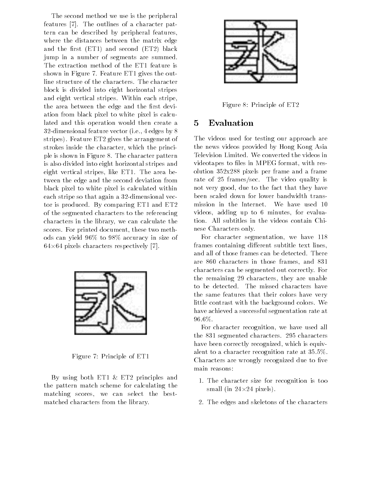The second method we use is the peripheral features - The outlines of a character pat tern can be described by peripheral features where the distances between the matrix edge and the first  $(ET1)$  and second  $(ET2)$  black jump in a number of segments are summed The extraction method of the ET1 feature is shown in Figure 7. Feature  $ET1$  gives the outline structure of the characters. The character block is divided into eight horizontal stripes and eight vertical stripes. Within each stripe, the area between the edge and the first deviation from black pixel to white pixel is calcu lated and this operation would then create a  $32$ -dimensional feature vector (i.e., 4 edges by 8) stripes). Feature ET2 gives the arrangement of strokes inside the character, which the principle is shown in Figure 8. The character pattern is also divided into eight horizontal stripes and eight vertical stripes, like  $ET1$ . The area between the edge and the second deviation from black pixel to white pixel is calculated within each stripe so that again a 32-dimensional vector is produced. By comparing  $ET1$  and  $ET2$ of the segmented characters to the referencing characters in the library, we can calculate the scores. For printed document, these two methods can yield  $96\%$  to  $98\%$  accuracy in size of pixels characters respectively and the characters of the control of the control of the control of the control of the control of the control of the control of the control of the control of the control of the control of the



Figure 7: Principle of ET1

By using both  $ET1 \& ET2$  principles and the pattern match scheme for calculating the matching scores, we can select the bestmatched characters from the library 



Figure 8: Principle of ET2

#### 5 Evaluation

The videos used for testing our approach are the news videos provided by Hong Kong Asia Television Limited. We converted the videos in videotapes to files in MPEG format, with resolution  $352x288$  pixels per frame and a frame rate of 25 frames/sec. The video quality is not very good, due to the fact that they have been scaled down for lower bandwidth trans mission in the Internet. We have used 10 videos, adding up to 6 minutes, for evaluation. All subtitles in the videos contain Chinese Characters only 

For character segmentation, we have 118 frames containing different subtitle text lines, and all of those frames can be detected. There are 860 characters in those frames, and 831 characters can be segmented out correctly. For the remaining 29 characters, they are unable to be detected. The missed characters have the same features that their colors have very little contrast with the background colors. We have achieved a successful segmentation rate at  $96.6\%$ .

For character recognition, we have used all the 831 segmented characters. 295 characters have been correctly recognized, which is equivalent to a character recognition rate at  $35.5\%$ . Characters are wrongly recognized due to five main reasons

- 1. The character size for recognition is too small (in  $24\times24$  pixels).
- 2. The edges and skeletons of the characters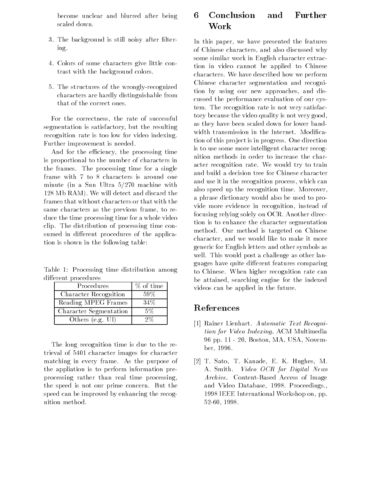become unclear and blurred after being

- 3. The background is still noisy after filter- $\operatorname{in} \mathfrak{e}$ . ing the state of the state of the state of the state of the state of the state of the state of the state of the
- Colors of some characters give little con trast with the background colors
- 5. The structures of the wrongly-recognized characters are hardly distinguishable from that of the correct ones

For the correctness, the rate of successful segmentation is satisfactory, but the resulting recognition rate is too low for video indexing Further improvement is needed 

And for the efficiency, the processing time is proportional to the number of characters in the frames. The processing time for a single frame with 7 to 8 characters is around one minute (in a Sun Ultra  $5/270$  machine with 128 Mb RAM). We will detect and discard the frames that without characters or that with the same characters as the previous frame, to reduce the time processing time for a whole video clip. The distribution of processing time consumed in different procedures of the application is shown in the following table

Table 1: Processing time distribution among different procedures

| Procedures             | $%$ of time |
|------------------------|-------------|
| Character Recognition  | $.59\%$     |
| Reading MPEG Frames    | 34%         |
| Character Segmentation | .5%         |
| Others (e.g. UI)       | ウツィ         |

The long recognition time is due to the re trieval of 5401 character images for character matching in every frame. As the purpose of the appliation is to perform information pre processing rather than real time processing the speed is not our prime concern. But the speed can be improved by enhancing the recog nition method 

#### 6 Conclusion and Further Work

In this paper, we have presented the features of Chinese characters, and also discussed why some similar work in English character extrac tion in video cannot be applied to Chinese characters. We have described how we perform Chinese character segmentation and recogni tion by using our new approaches, and discussed the performance evaluation of our sys tem. The recognition rate is not very satisfactory because the video quality is not very good as they have been scaled down for lower band width transmission in the Internet. Modification of this project is in progress. One direction is to use some more intelligent character recog nition methods in order to increase the char acter recognition rate. We would try to train and build a decision tree for Chinese character and use it in the recognition process, which can also speed up the recognition time. Moreover, a phrase dictionary would also be used to pro vide more evidence in recognition, instead of focusing relying solely on OCR. Another direction is to enhance the character segmentation method. Our method is targeted on Chinese character, and we would like to make it more generic for English letters and other symbols as well. This would post a challenge as other languages have quite different features comparing to Chinese. When higher recognition rate can be attained, searching engine for the indexed videos can be applied in the future 

## References

- $\blacksquare$  . The contract Recogni-Lienhart  $\blacksquare$ tion for Video Indexing. ACM Multimedia  $96$  pp.  $11 - 20$ , Boston, MA, USA, November, 1996.
- $\mathbf{1}$  satisfies a satisfies  $\mathbf{1}$  satisfies  $\mathbf{1}$  and  $\mathbf{1}$  and  $\mathbf{1}$  and  $\mathbf{1}$  and  $\mathbf{1}$  and  $\mathbf{1}$  and  $\mathbf{1}$  and  $\mathbf{1}$  and  $\mathbf{1}$  and  $\mathbf{1}$  and  $\mathbf{1}$  and  $\mathbf{1}$  and  $\mathbf{1}$  and  $\$ A. Smith. Video OCR for Digital News Archive. Content-Based Access of Image and Video Database, 1998. Proceedings., 1998 IEEE International Workshop on, pp. 52-60.1998.